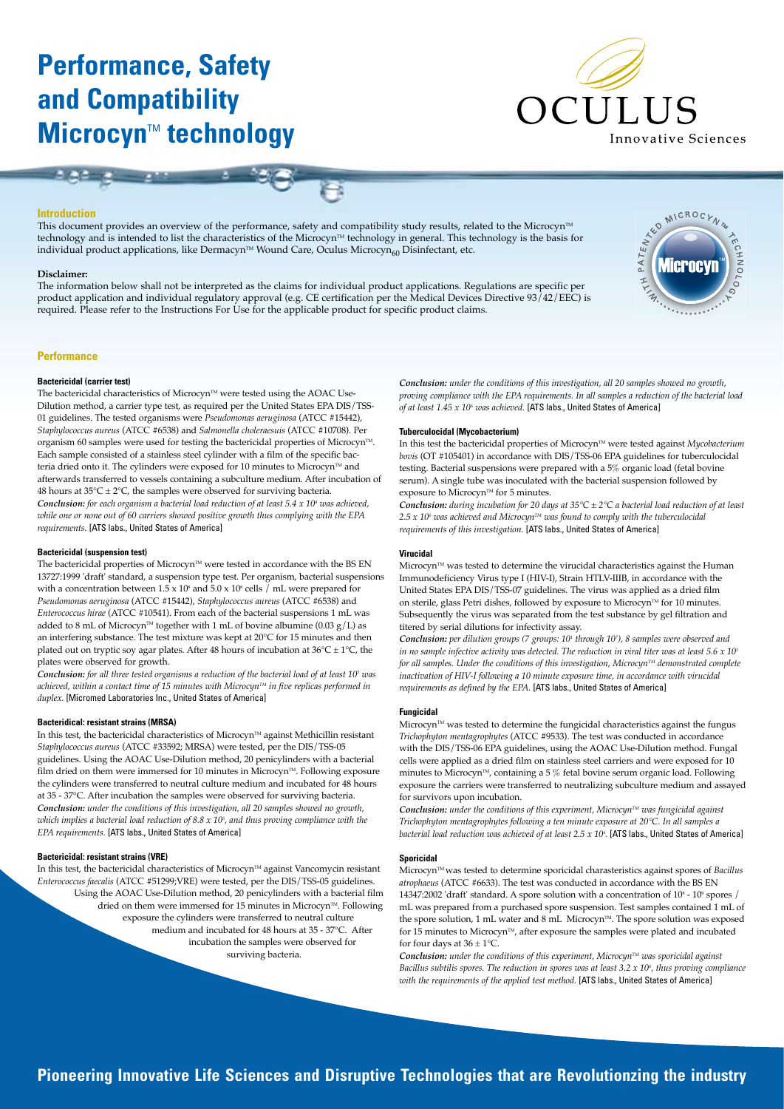# **Performance, Safety and Compatibility Microcyn™ technology**



A PATENTES

MICROC,

# **Introduction**

This document provides an overview of the performance, safety and compatibility study results, related to the Microcyn™ technology and is intended to list the characteristics of the Microcyn™ technology in general. This technology is the basis for individual product applications, like Dermacyn™ Wound Care, Oculus Microcyn<sub>60</sub> Disinfectant, etc.

#### **Disclaimer:**

The information below shall not be interpreted as the claims for individual product applications. Regulations are specific per product application and individual regulatory approval (e.g. CE certification per the Medical Devices Directive 93/42/EEC) is required. Please refer to the Instructions For Use for the applicable product for specific product claims.



# **Bactericidal (carrier test)**

The bactericidal characteristics of Microcyn<sup> $M$ </sup> were tested using the AOAC Use-Dilution method, a carrier type test, as required per the United States EPA DIS/TSS-01 guidelines. The tested organisms were *Pseudomonas aeruginosa* (ATCC #15442), *Staphylococcus aureus* (ATCC #6538) and *Salmonella choleraesuis* (ATCC #10708). Per organism 60 samples were used for testing the bactericidal properties of Microcyn<sup>TM</sup>. Each sample consisted of a stainless steel cylinder with a film of the specific bacteria dried onto it. The cylinders were exposed for 10 minutes to Microcyn<sup> $m$ </sup> and afterwards transferred to vessels containing a subculture medium. After incubation of 48 hours at  $35^{\circ}$ C  $\pm$  2°C, the samples were observed for surviving bacteria. *Conclusion: for each organism a bacterial load reduction of at least 5.4 x 104 was achieved, while one or none out of 60 carriers showed positive growth thus complying with the EPA requirements.* [ATS labs., United States of America]

#### **Bactericidal (suspension test)**

The bactericidal properties of Microcyn<sup> $M$ </sup> were tested in accordance with the BS EN 13727:1999 'draft' standard, a suspension type test. Per organism, bacterial suspensions with a concentration between  $1.5 \times 10^8$  and  $5.0 \times 10^8$  cells / mL were prepared for *Pseudomonas aeruginosa* (ATCC #15442), *Staphylococcus aureus* (ATCC #6538) and *Enterococcus hirae* (ATCC #10541). From each of the bacterial suspensions 1 mL was added to 8 mL of Microcyn<sup>™</sup> together with 1 mL of bovine albumine (0.03 g/L) as an interfering substance. The test mixture was kept at 20°C for 15 minutes and then plated out on tryptic soy agar plates. After 48 hours of incubation at  $36^{\circ}$ C ± 1°C, the plates were observed for growth.

*Conclusion: for all three tested organisms a reduction of the bacterial load of at least 105 was achieved, within a contact time of 15 minutes with Microcyn™ in five replicas performed in duplex.* [Micromed Laboratories Inc., United States of America]

#### **Bacteridical: resistant strains (MRSA)**

In this test, the bactericidal characteristics of Microcyn™ against Methicillin resistant *Staphylococcus aureus* (ATCC #33592; MRSA) were tested, per the DIS/TSS-05 guidelines. Using the AOAC Use-Dilution method, 20 penicylinders with a bacterial film dried on them were immersed for 10 minutes in Microcyn<sup>™</sup>. Following exposure the cylinders were transferred to neutral culture medium and incubated for 48 hours at 35 - 37°C. After incubation the samples were observed for surviving bacteria. *Conclusion: under the conditions of this investigation, all 20 samples showed no growth, which implies a bacterial load reduction of 8.8 x 105 , and thus proving compliance with the EPA requirements.* [ATS labs., United States of America]

# **Bactericidal: resistant strains (VRE)**

In this test, the bactericidal characteristics of Microcyn™ against Vancomycin resistant *Enterococcus faecalis* (ATCC #51299;VRE) were tested, per the DIS/TSS-05 guidelines. Using the AOAC Use-Dilution method, 20 penicylinders with a bacterial film dried on them were immersed for 15 minutes in Microcyn<sup>™</sup>. Following exposure the cylinders were transferred to neutral culture medium and incubated for 48 hours at 35 - 37°C. After incubation the samples were observed for surviving bacteria.

*Conclusion: under the conditions of this investigation, all 20 samples showed no growth, proving compliance with the EPA requirements. In all samples a reduction of the bacterial load of at least 1.45 x 106 was achieved.* [ATS labs., United States of America]

### **Tuberculocidal (Mycobacterium)**

In this test the bactericidal properties of Microcyn™ were tested against *Mycobacterium bovis* (OT #105401) in accordance with DIS/TSS-06 EPA guidelines for tuberculocidal testing. Bacterial suspensions were prepared with a 5% organic load (fetal bovine serum). A single tube was inoculated with the bacterial suspension followed by exposure to Microcyn<sup> $M$ </sup> for 5 minutes.

*Conclusion: during incubation for 20 days at 35°C ± 2°C a bacterial load reduction of at least*  2.5 x 10<sup>€</sup> was achieved and Microcyn™ was found to comply with the tuberculocidal *requirements of this investigation.* [ATS labs., United States of America]

# **Virucidal**

Microcyn™ was tested to determine the virucidal characteristics against the Human Immunodeficiency Virus type I (HIV-I), Strain HTLV-IIIB, in accordance with the United States EPA DIS/TSS-07 guidelines. The virus was applied as a dried film on sterile, glass Petri dishes, followed by exposure to Microcyn<sup>™</sup> for 10 minutes. Subsequently the virus was separated from the test substance by gel filtration and titered by serial dilutions for infectivity assay.

*Conclusion: per dilution groups (7 groups: 101 through 107 ), 8 samples were observed and in no sample infective activity was detected. The reduction in viral titer was at least 5.6 x 103 for all samples. Under the conditions of this investigation, Microcyn™ demonstrated complete inactivation of HIV-I following a 10 minute exposure time, in accordance with virucidal requirements as defined by the EPA.* [ATS labs., United States of America]

#### **Fungicidal**

Microcyn™ was tested to determine the fungicidal characteristics against the fungus *Trichophyton mentagrophytes* (ATCC #9533). The test was conducted in accordance with the DIS/TSS-06 EPA guidelines, using the AOAC Use-Dilution method. Fungal cells were applied as a dried film on stainless steel carriers and were exposed for 10 minutes to Microcyn<sup>™</sup>, containing a 5 % fetal bovine serum organic load. Following exposure the carriers were transferred to neutralizing subculture medium and assayed for survivors upon incubation.

Conclusion: under the conditions of this experiment, Microcyn™ was fungicidal against *Trichophyton mentagrophytes following a ten minute exposure at 20°C. In all samples a bacterial load reduction was achieved of at least 2.5 x 106 .* [ATS labs., United States of America]

# **Sporicidal**

Microcyn<sup>™</sup> was tested to determine sporicidal charasteristics against spores of *Bacillus atrophaeus* (ATCC #6633). The test was conducted in accordance with the BS EN 14347:2002 'draft' standard. A spore solution with a concentration of  $10^{\circ}$  -  $10^{\circ}$  spores / mL was prepared from a purchased spore suspension. Test samples contained 1 mL of the spore solution, 1 mL water and 8 mL Microcyn™. The spore solution was exposed for 15 minutes to Microcyn<sup> $M$ </sup>, after exposure the samples were plated and incubated for four days at  $36 \pm 1^{\circ}$ C.

Conclusion: *under the conditions of this experiment*, Microcyn™ was sporicidal against *Bacillus subtilis spores. The reduction in spores was at least 3.2 x 106 , thus proving compliance*  with the requirements of the applied test method. [ATS labs., United States of America]